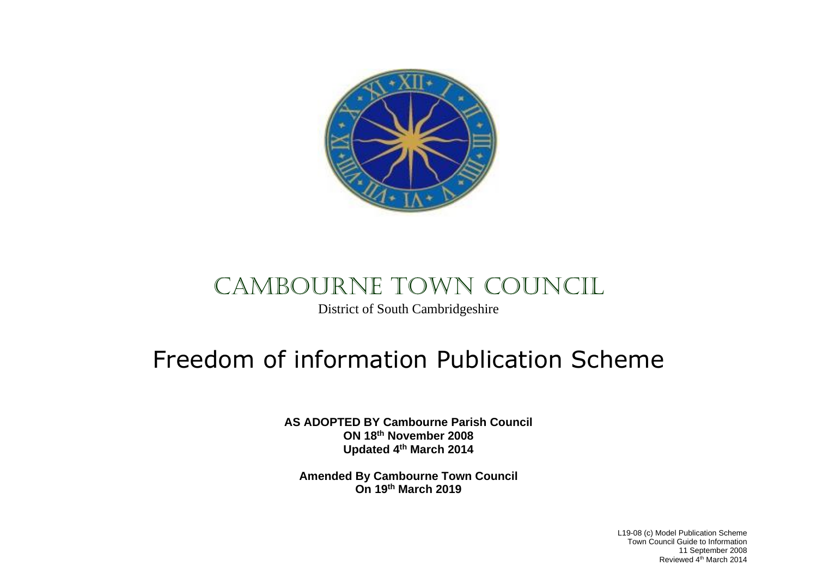

## CAMBOURNE TOWN COUNCIL

District of South Cambridgeshire

## Freedom of information Publication Scheme

**AS ADOPTED BY Cambourne Parish Council ON 18th November 2008 Updated 4th March 2014**

**Amended By Cambourne Town Council On 19th March 2019**

> L19-08 (c) Model Publication Scheme Town Council Guide to Information 11 September 2008 Reviewed 4<sup>th</sup> March 2014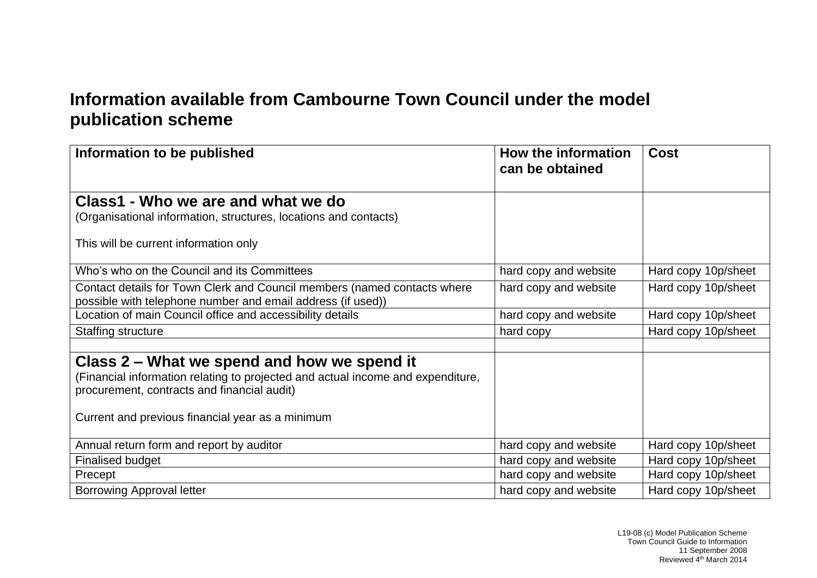## **Information available from Cambourne Town Council under the model publication scheme**

| Information to be published                                                                                                             | How the information<br>can be obtained | <b>Cost</b>         |
|-----------------------------------------------------------------------------------------------------------------------------------------|----------------------------------------|---------------------|
|                                                                                                                                         |                                        |                     |
| Class1 - Who we are and what we do                                                                                                      |                                        |                     |
| (Organisational information, structures, locations and contacts)                                                                        |                                        |                     |
| This will be current information only                                                                                                   |                                        |                     |
| Who's who on the Council and its Committees                                                                                             | hard copy and website                  | Hard copy 10p/sheet |
| Contact details for Town Clerk and Council members (named contacts where<br>possible with telephone number and email address (if used)) | hard copy and website                  | Hard copy 10p/sheet |
| Location of main Council office and accessibility details                                                                               | hard copy and website                  | Hard copy 10p/sheet |
| Staffing structure                                                                                                                      | hard copy                              | Hard copy 10p/sheet |
|                                                                                                                                         |                                        |                     |
| Class 2 – What we spend and how we spend it                                                                                             |                                        |                     |
| (Financial information relating to projected and actual income and expenditure,                                                         |                                        |                     |
| procurement, contracts and financial audit)                                                                                             |                                        |                     |
| Current and previous financial year as a minimum                                                                                        |                                        |                     |
| Annual return form and report by auditor                                                                                                | hard copy and website                  | Hard copy 10p/sheet |
| <b>Finalised budget</b>                                                                                                                 | hard copy and website                  | Hard copy 10p/sheet |
| Precept                                                                                                                                 | hard copy and website                  | Hard copy 10p/sheet |
| <b>Borrowing Approval letter</b>                                                                                                        | hard copy and website                  | Hard copy 10p/sheet |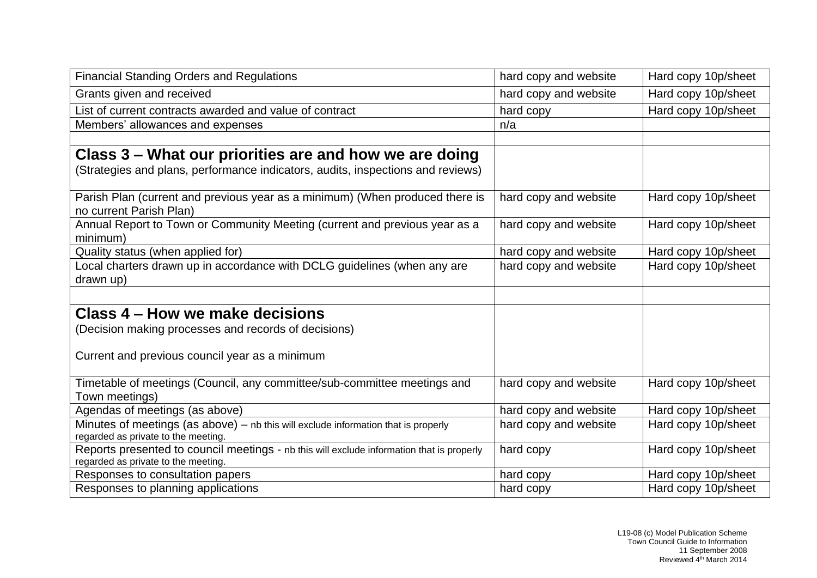| <b>Financial Standing Orders and Regulations</b>                                                                                 | hard copy and website | Hard copy 10p/sheet |
|----------------------------------------------------------------------------------------------------------------------------------|-----------------------|---------------------|
| Grants given and received                                                                                                        | hard copy and website | Hard copy 10p/sheet |
| List of current contracts awarded and value of contract                                                                          | hard copy             | Hard copy 10p/sheet |
| Members' allowances and expenses                                                                                                 | n/a                   |                     |
|                                                                                                                                  |                       |                     |
| Class 3 – What our priorities are and how we are doing                                                                           |                       |                     |
| (Strategies and plans, performance indicators, audits, inspections and reviews)                                                  |                       |                     |
| Parish Plan (current and previous year as a minimum) (When produced there is<br>no current Parish Plan)                          | hard copy and website | Hard copy 10p/sheet |
| Annual Report to Town or Community Meeting (current and previous year as a<br>minimum)                                           | hard copy and website | Hard copy 10p/sheet |
| Quality status (when applied for)                                                                                                | hard copy and website | Hard copy 10p/sheet |
| Local charters drawn up in accordance with DCLG guidelines (when any are<br>drawn up)                                            | hard copy and website | Hard copy 10p/sheet |
|                                                                                                                                  |                       |                     |
| Class 4 – How we make decisions                                                                                                  |                       |                     |
| (Decision making processes and records of decisions)                                                                             |                       |                     |
| Current and previous council year as a minimum                                                                                   |                       |                     |
| Timetable of meetings (Council, any committee/sub-committee meetings and<br>Town meetings)                                       | hard copy and website | Hard copy 10p/sheet |
| Agendas of meetings (as above)                                                                                                   | hard copy and website | Hard copy 10p/sheet |
| Minutes of meetings (as above) - nb this will exclude information that is properly<br>regarded as private to the meeting.        | hard copy and website | Hard copy 10p/sheet |
| Reports presented to council meetings - nb this will exclude information that is properly<br>regarded as private to the meeting. | hard copy             | Hard copy 10p/sheet |
| Responses to consultation papers                                                                                                 | hard copy             | Hard copy 10p/sheet |
| Responses to planning applications                                                                                               | hard copy             | Hard copy 10p/sheet |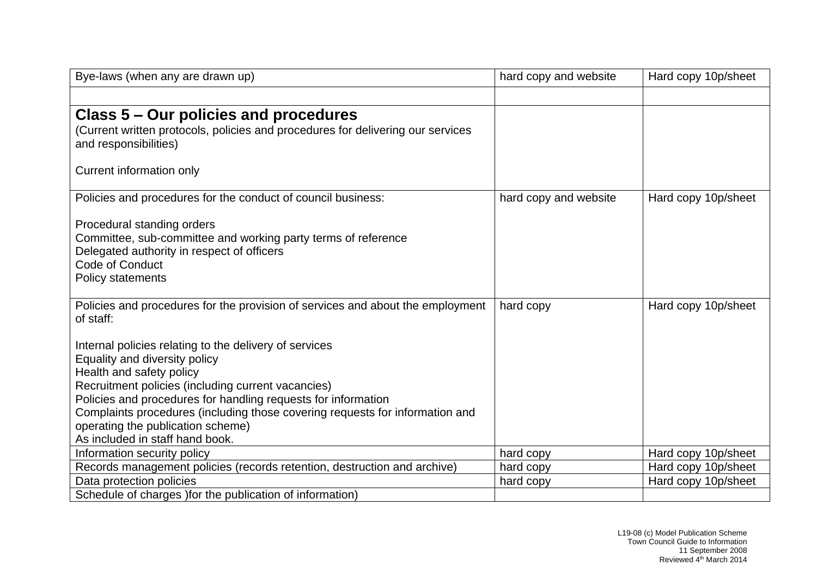| Bye-laws (when any are drawn up)                                                                                                                                                                                                                                                                                                                                                                   | hard copy and website | Hard copy 10p/sheet |
|----------------------------------------------------------------------------------------------------------------------------------------------------------------------------------------------------------------------------------------------------------------------------------------------------------------------------------------------------------------------------------------------------|-----------------------|---------------------|
|                                                                                                                                                                                                                                                                                                                                                                                                    |                       |                     |
| Class 5 – Our policies and procedures<br>(Current written protocols, policies and procedures for delivering our services<br>and responsibilities)                                                                                                                                                                                                                                                  |                       |                     |
| Current information only                                                                                                                                                                                                                                                                                                                                                                           |                       |                     |
| Policies and procedures for the conduct of council business:                                                                                                                                                                                                                                                                                                                                       | hard copy and website | Hard copy 10p/sheet |
| Procedural standing orders<br>Committee, sub-committee and working party terms of reference<br>Delegated authority in respect of officers<br>Code of Conduct<br><b>Policy statements</b>                                                                                                                                                                                                           |                       |                     |
| Policies and procedures for the provision of services and about the employment<br>of staff:                                                                                                                                                                                                                                                                                                        | hard copy             | Hard copy 10p/sheet |
| Internal policies relating to the delivery of services<br>Equality and diversity policy<br>Health and safety policy<br>Recruitment policies (including current vacancies)<br>Policies and procedures for handling requests for information<br>Complaints procedures (including those covering requests for information and<br>operating the publication scheme)<br>As included in staff hand book. |                       |                     |
| Information security policy                                                                                                                                                                                                                                                                                                                                                                        | hard copy             | Hard copy 10p/sheet |
| Records management policies (records retention, destruction and archive)                                                                                                                                                                                                                                                                                                                           | hard copy             | Hard copy 10p/sheet |
| Data protection policies                                                                                                                                                                                                                                                                                                                                                                           | hard copy             | Hard copy 10p/sheet |
| Schedule of charges ) for the publication of information)                                                                                                                                                                                                                                                                                                                                          |                       |                     |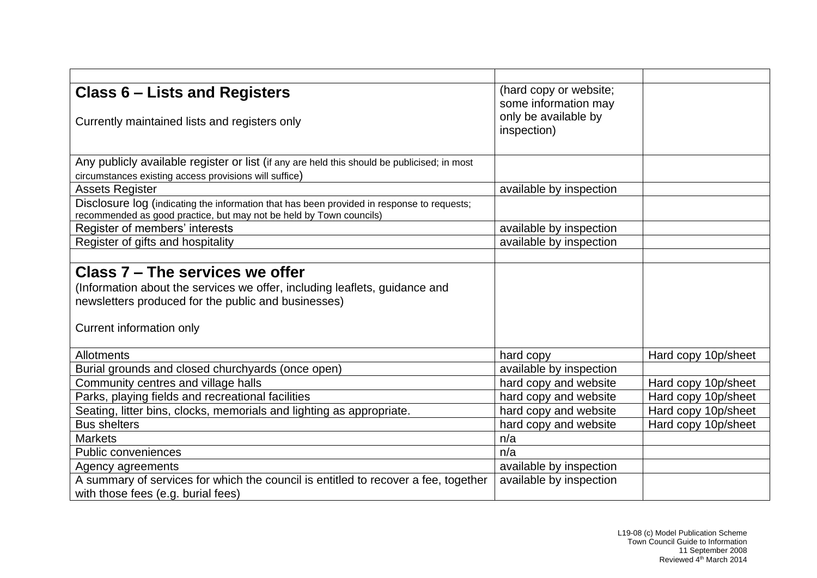| <b>Class 6 – Lists and Registers</b>                                                                                                                              | (hard copy or website;<br>some information may |                     |
|-------------------------------------------------------------------------------------------------------------------------------------------------------------------|------------------------------------------------|---------------------|
| Currently maintained lists and registers only                                                                                                                     | only be available by<br>inspection)            |                     |
| Any publicly available register or list (if any are held this should be publicised; in most                                                                       |                                                |                     |
| circumstances existing access provisions will suffice)                                                                                                            |                                                |                     |
| <b>Assets Register</b>                                                                                                                                            | available by inspection                        |                     |
| Disclosure log (indicating the information that has been provided in response to requests;<br>recommended as good practice, but may not be held by Town councils) |                                                |                     |
| Register of members' interests                                                                                                                                    | available by inspection                        |                     |
| Register of gifts and hospitality                                                                                                                                 | available by inspection                        |                     |
|                                                                                                                                                                   |                                                |                     |
| Class 7 – The services we offer                                                                                                                                   |                                                |                     |
| (Information about the services we offer, including leaflets, guidance and                                                                                        |                                                |                     |
| newsletters produced for the public and businesses)                                                                                                               |                                                |                     |
| Current information only                                                                                                                                          |                                                |                     |
| Allotments                                                                                                                                                        | hard copy                                      | Hard copy 10p/sheet |
| Burial grounds and closed churchyards (once open)                                                                                                                 | available by inspection                        |                     |
| Community centres and village halls                                                                                                                               | hard copy and website                          | Hard copy 10p/sheet |
| Parks, playing fields and recreational facilities                                                                                                                 | hard copy and website                          | Hard copy 10p/sheet |
| Seating, litter bins, clocks, memorials and lighting as appropriate.                                                                                              | hard copy and website                          | Hard copy 10p/sheet |
| <b>Bus shelters</b>                                                                                                                                               | hard copy and website                          | Hard copy 10p/sheet |
| <b>Markets</b>                                                                                                                                                    | n/a                                            |                     |
| <b>Public conveniences</b>                                                                                                                                        | n/a                                            |                     |
| Agency agreements                                                                                                                                                 | available by inspection                        |                     |
| A summary of services for which the council is entitled to recover a fee, together                                                                                | available by inspection                        |                     |
| with those fees (e.g. burial fees)                                                                                                                                |                                                |                     |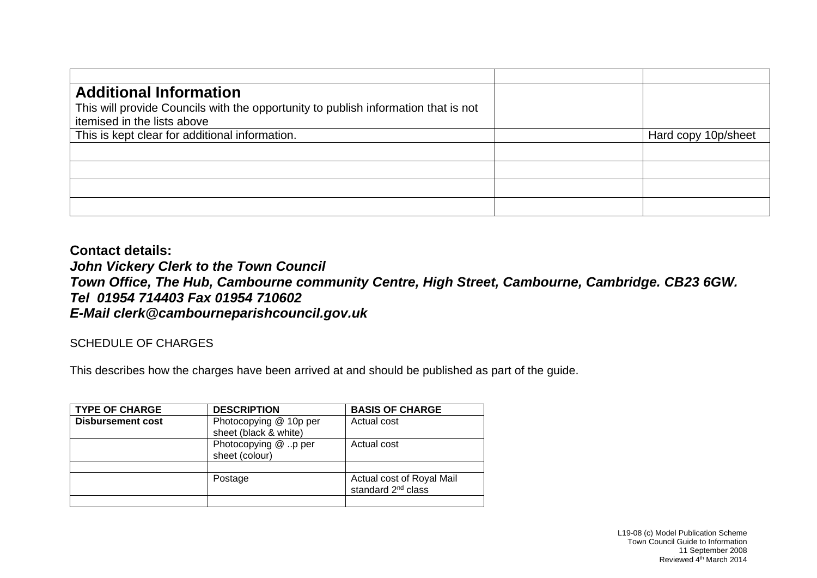| <b>Additional Information</b>                                                      |                     |
|------------------------------------------------------------------------------------|---------------------|
| This will provide Councils with the opportunity to publish information that is not |                     |
| itemised in the lists above                                                        |                     |
| This is kept clear for additional information.                                     | Hard copy 10p/sheet |
|                                                                                    |                     |
|                                                                                    |                     |
|                                                                                    |                     |
|                                                                                    |                     |
|                                                                                    |                     |

**Contact details:** *John Vickery Clerk to the Town Council Town Office, The Hub, Cambourne community Centre, High Street, Cambourne, Cambridge. CB23 6GW. Tel 01954 714403 Fax 01954 710602 E-Mail clerk@cambourneparishcouncil.gov.uk* 

SCHEDULE OF CHARGES

This describes how the charges have been arrived at and should be published as part of the guide.

| <b>TYPE OF CHARGE</b>    | <b>DESCRIPTION</b>                              | <b>BASIS OF CHARGE</b>                                      |
|--------------------------|-------------------------------------------------|-------------------------------------------------------------|
| <b>Disbursement cost</b> | Photocopying @ 10p per<br>sheet (black & white) | Actual cost                                                 |
|                          | Photocopying @ p per<br>sheet (colour)          | Actual cost                                                 |
|                          |                                                 |                                                             |
|                          | Postage                                         | Actual cost of Royal Mail<br>standard 2 <sup>nd</sup> class |
|                          |                                                 |                                                             |